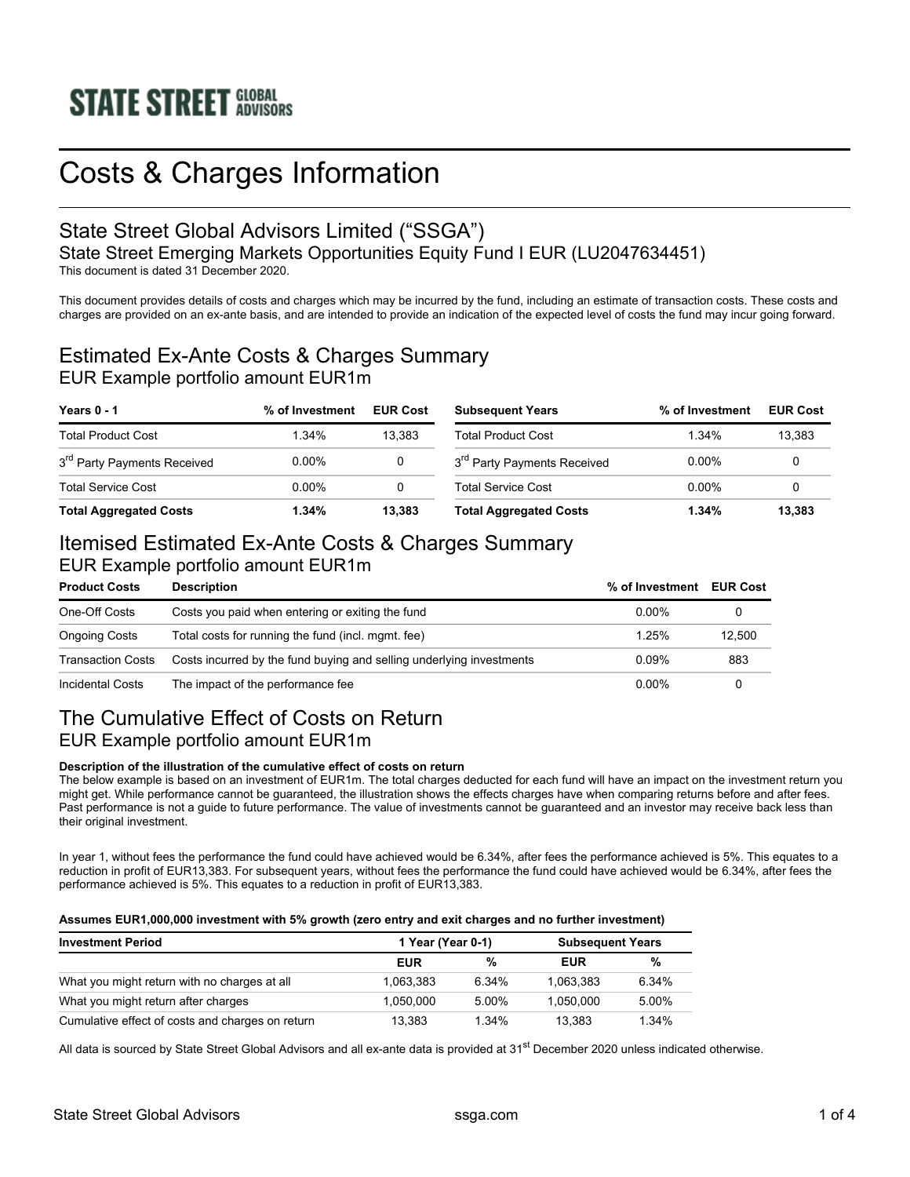# Costs & Charges Information

# State Street Global Advisors Limited ("SSGA")

State Street Emerging Markets Opportunities Equity Fund I EUR (LU2047634451)

This document is dated 31 December 2020.

This document provides details of costs and charges which may be incurred by the fund, including an estimate of transaction costs. These costs and charges are provided on an ex-ante basis, and are intended to provide an indication of the expected level of costs the fund may incur going forward.

#### Estimated Ex-Ante Costs & Charges Summary EUR Example portfolio amount EUR1m

| Years 0 - 1                             | % of Investment | <b>EUR Cost</b> | <b>Subsequent Years</b>                 | % of Investment | <b>EUR Cost</b> |
|-----------------------------------------|-----------------|-----------------|-----------------------------------------|-----------------|-----------------|
| <b>Total Product Cost</b>               | 1.34%           | 13.383          | <b>Total Product Cost</b>               | 1 34%           | 13.383          |
| 3 <sup>rd</sup> Party Payments Received | $0.00\%$        |                 | 3 <sup>rd</sup> Party Payments Received | $0.00\%$        |                 |
| <b>Total Service Cost</b>               | 0.00%           |                 | <b>Total Service Cost</b>               | 0.00%           |                 |
| <b>Total Aggregated Costs</b>           | 1.34%           | 13.383          | <b>Total Aggregated Costs</b>           | 1.34%           | 13.383          |

## Itemised Estimated Ex-Ante Costs & Charges Summary

#### EUR Example portfolio amount EUR1m

| <b>Product Costs</b>                                                                      | <b>Description</b>                                 | % of Investment | <b>EUR Cost</b> |
|-------------------------------------------------------------------------------------------|----------------------------------------------------|-----------------|-----------------|
| One-Off Costs                                                                             | Costs you paid when entering or exiting the fund   | $0.00\%$        |                 |
| <b>Ongoing Costs</b>                                                                      | Total costs for running the fund (incl. mgmt. fee) | 1.25%           | 12.500          |
| Costs incurred by the fund buying and selling underlying investments<br>Transaction Costs |                                                    | 0.09%           | 883             |
| Incidental Costs                                                                          | The impact of the performance fee                  | $0.00\%$        |                 |

### The Cumulative Effect of Costs on Return EUR Example portfolio amount EUR1m

#### **Description of the illustration of the cumulative effect of costs on return**

The below example is based on an investment of EUR1m. The total charges deducted for each fund will have an impact on the investment return you might get. While performance cannot be guaranteed, the illustration shows the effects charges have when comparing returns before and after fees. Past performance is not a guide to future performance. The value of investments cannot be guaranteed and an investor may receive back less than their original investment.

In year 1, without fees the performance the fund could have achieved would be 6.34%, after fees the performance achieved is 5%. This equates to a reduction in profit of EUR13,383. For subsequent years, without fees the performance the fund could have achieved would be 6.34%, after fees the performance achieved is 5%. This equates to a reduction in profit of EUR13,383.

#### **Assumes EUR1,000,000 investment with 5% growth (zero entry and exit charges and no further investment)**

| <b>Investment Period</b>                         | 1 Year (Year 0-1) |       | <b>Subsequent Years</b> |       |
|--------------------------------------------------|-------------------|-------|-------------------------|-------|
|                                                  | <b>EUR</b>        | %     | EUR                     | %     |
| What you might return with no charges at all     | 1.063.383         | 6.34% | 1.063.383               | 6.34% |
| What you might return after charges              | 1.050.000         | 5.00% | 1.050.000               | 5.00% |
| Cumulative effect of costs and charges on return | 13.383            | 1.34% | 13.383                  | 1.34% |

All data is sourced by State Street Global Advisors and all ex-ante data is provided at 31<sup>st</sup> December 2020 unless indicated otherwise.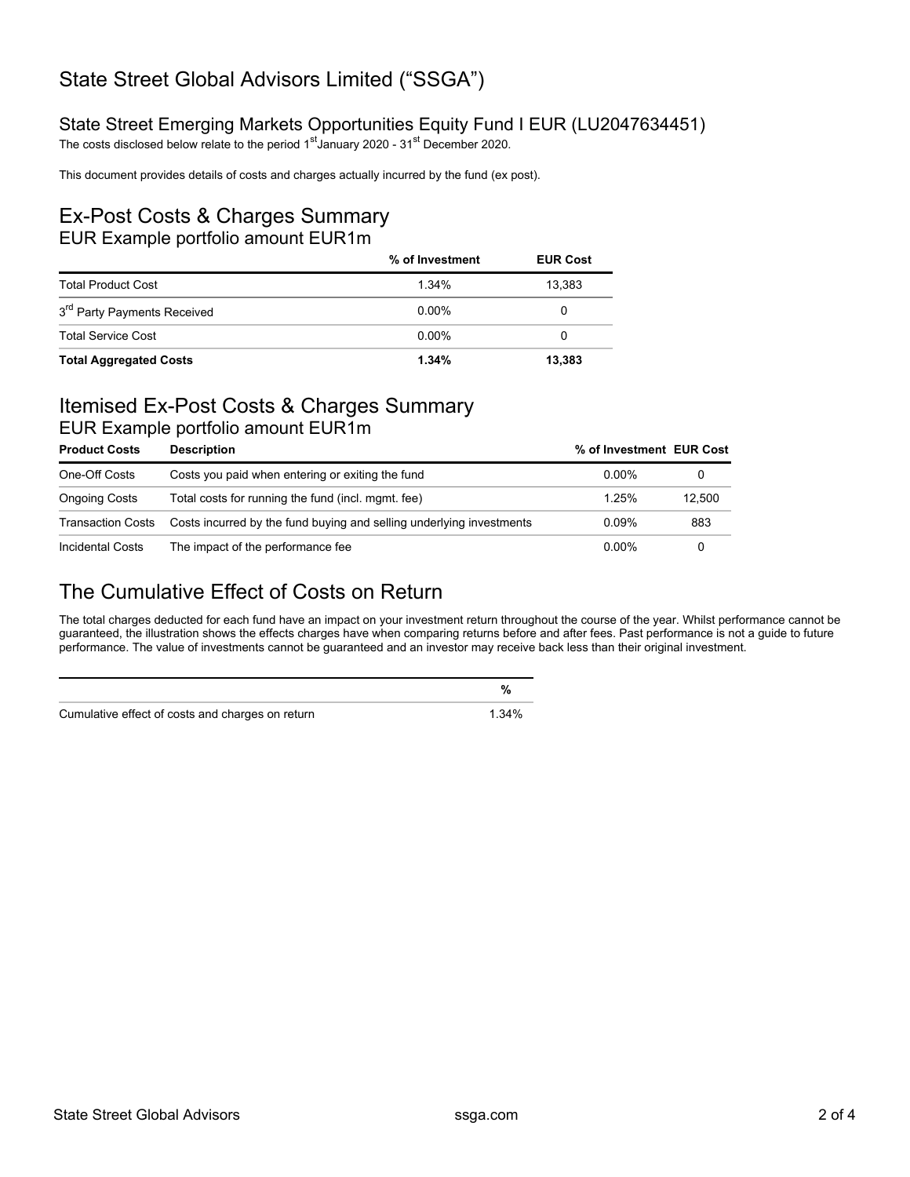## State Street Global Advisors Limited ("SSGA")

#### State Street Emerging Markets Opportunities Equity Fund I EUR (LU2047634451)

The costs disclosed below relate to the period 1<sup>st</sup> January 2020 - 31<sup>st</sup> December 2020.

This document provides details of costs and charges actually incurred by the fund (ex post).

#### Ex-Post Costs & Charges Summary EUR Example portfolio amount EUR1m

|                                         | % of Investment | <b>EUR Cost</b> |
|-----------------------------------------|-----------------|-----------------|
| <b>Total Product Cost</b>               | 1 $34\%$        | 13.383          |
| 3 <sup>rd</sup> Party Payments Received | $0.00\%$        | 0               |
| <b>Total Service Cost</b>               | $0.00\%$        | 0               |
| <b>Total Aggregated Costs</b>           | 1.34%           | 13,383          |

## Itemised Ex-Post Costs & Charges Summary

#### EUR Example portfolio amount EUR1m

| <b>Product Costs</b>     | <b>Description</b>                                                   | % of Investment EUR Cost |        |
|--------------------------|----------------------------------------------------------------------|--------------------------|--------|
| One-Off Costs            | Costs you paid when entering or exiting the fund                     | $0.00\%$                 |        |
| <b>Ongoing Costs</b>     | Total costs for running the fund (incl. mgmt. fee)                   | 1 25%                    | 12.500 |
| <b>Transaction Costs</b> | Costs incurred by the fund buying and selling underlying investments | 0.09%                    | 883    |
| <b>Incidental Costs</b>  | The impact of the performance fee                                    | $0.00\%$                 |        |

### The Cumulative Effect of Costs on Return

The total charges deducted for each fund have an impact on your investment return throughout the course of the year. Whilst performance cannot be guaranteed, the illustration shows the effects charges have when comparing returns before and after fees. Past performance is not a guide to future performance. The value of investments cannot be guaranteed and an investor may receive back less than their original investment.

Cumulative effect of costs and charges on return 1.34%

**%**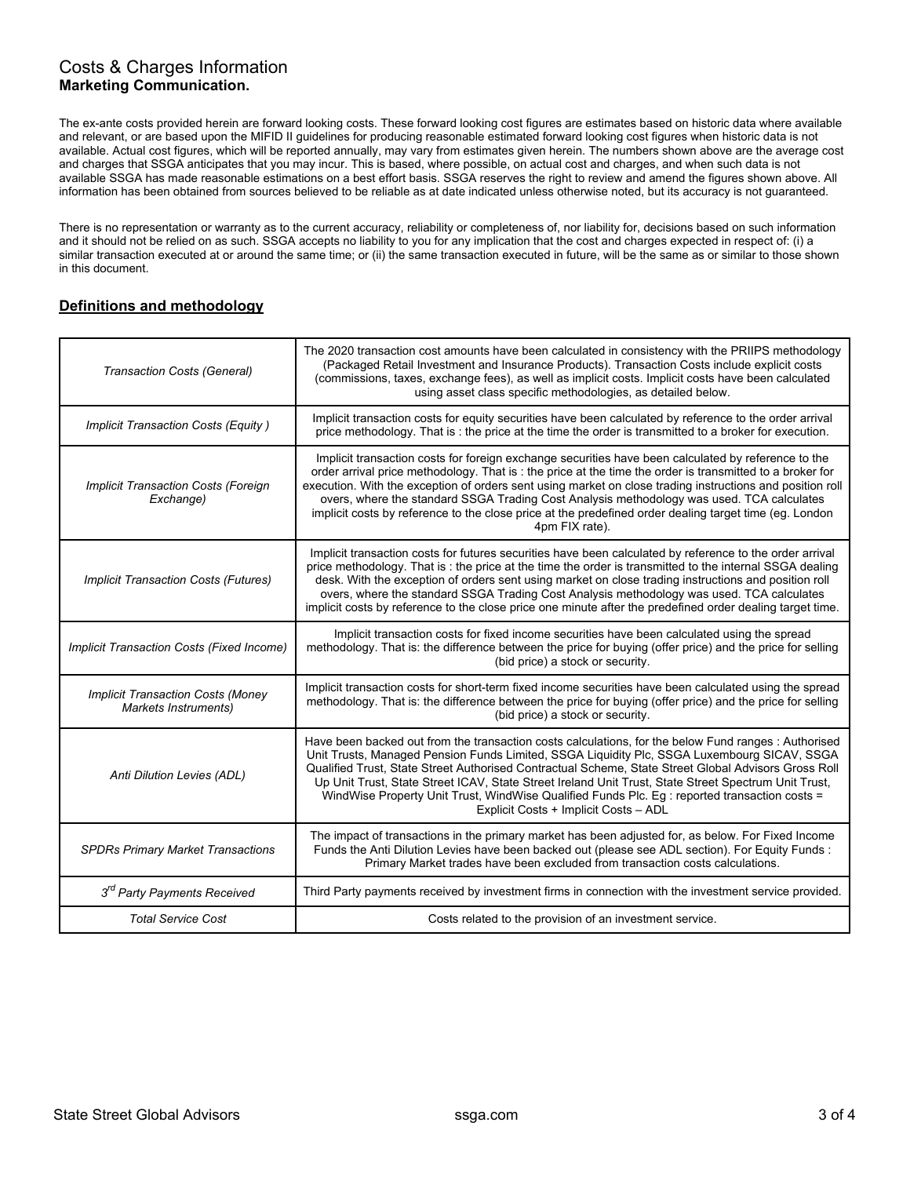#### Costs & Charges Information **Marketing Communication.**

The ex-ante costs provided herein are forward looking costs. These forward looking cost figures are estimates based on historic data where available and relevant, or are based upon the MIFID II guidelines for producing reasonable estimated forward looking cost figures when historic data is not available. Actual cost figures, which will be reported annually, may vary from estimates given herein. The numbers shown above are the average cost and charges that SSGA anticipates that you may incur. This is based, where possible, on actual cost and charges, and when such data is not available SSGA has made reasonable estimations on a best effort basis. SSGA reserves the right to review and amend the figures shown above. All information has been obtained from sources believed to be reliable as at date indicated unless otherwise noted, but its accuracy is not guaranteed.

There is no representation or warranty as to the current accuracy, reliability or completeness of, nor liability for, decisions based on such information and it should not be relied on as such. SSGA accepts no liability to you for any implication that the cost and charges expected in respect of: (i) a similar transaction executed at or around the same time; or (ii) the same transaction executed in future, will be the same as or similar to those shown in this document.

#### **Definitions and methodology**

| Transaction Costs (General)                                      | The 2020 transaction cost amounts have been calculated in consistency with the PRIIPS methodology<br>(Packaged Retail Investment and Insurance Products). Transaction Costs include explicit costs<br>(commissions, taxes, exchange fees), as well as implicit costs. Implicit costs have been calculated<br>using asset class specific methodologies, as detailed below.                                                                                                                                                                                     |
|------------------------------------------------------------------|---------------------------------------------------------------------------------------------------------------------------------------------------------------------------------------------------------------------------------------------------------------------------------------------------------------------------------------------------------------------------------------------------------------------------------------------------------------------------------------------------------------------------------------------------------------|
| Implicit Transaction Costs (Equity)                              | Implicit transaction costs for equity securities have been calculated by reference to the order arrival<br>price methodology. That is: the price at the time the order is transmitted to a broker for execution.                                                                                                                                                                                                                                                                                                                                              |
| Implicit Transaction Costs (Foreign<br>Exchange)                 | Implicit transaction costs for foreign exchange securities have been calculated by reference to the<br>order arrival price methodology. That is : the price at the time the order is transmitted to a broker for<br>execution. With the exception of orders sent using market on close trading instructions and position roll<br>overs, where the standard SSGA Trading Cost Analysis methodology was used. TCA calculates<br>implicit costs by reference to the close price at the predefined order dealing target time (eg. London<br>4pm FIX rate).        |
| <b>Implicit Transaction Costs (Futures)</b>                      | Implicit transaction costs for futures securities have been calculated by reference to the order arrival<br>price methodology. That is: the price at the time the order is transmitted to the internal SSGA dealing<br>desk. With the exception of orders sent using market on close trading instructions and position roll<br>overs, where the standard SSGA Trading Cost Analysis methodology was used. TCA calculates<br>implicit costs by reference to the close price one minute after the predefined order dealing target time.                         |
| Implicit Transaction Costs (Fixed Income)                        | Implicit transaction costs for fixed income securities have been calculated using the spread<br>methodology. That is: the difference between the price for buying (offer price) and the price for selling<br>(bid price) a stock or security.                                                                                                                                                                                                                                                                                                                 |
| <b>Implicit Transaction Costs (Money</b><br>Markets Instruments) | Implicit transaction costs for short-term fixed income securities have been calculated using the spread<br>methodology. That is: the difference between the price for buying (offer price) and the price for selling<br>(bid price) a stock or security.                                                                                                                                                                                                                                                                                                      |
| Anti Dilution Levies (ADL)                                       | Have been backed out from the transaction costs calculations, for the below Fund ranges : Authorised<br>Unit Trusts, Managed Pension Funds Limited, SSGA Liquidity Plc, SSGA Luxembourg SICAV, SSGA<br>Qualified Trust, State Street Authorised Contractual Scheme, State Street Global Advisors Gross Roll<br>Up Unit Trust, State Street ICAV, State Street Ireland Unit Trust, State Street Spectrum Unit Trust,<br>WindWise Property Unit Trust, WindWise Qualified Funds Plc. Eg : reported transaction costs =<br>Explicit Costs + Implicit Costs - ADL |
| <b>SPDRs Primary Market Transactions</b>                         | The impact of transactions in the primary market has been adjusted for, as below. For Fixed Income<br>Funds the Anti Dilution Levies have been backed out (please see ADL section). For Equity Funds :<br>Primary Market trades have been excluded from transaction costs calculations.                                                                                                                                                                                                                                                                       |
| 3 <sup>rd</sup> Party Payments Received                          | Third Party payments received by investment firms in connection with the investment service provided.                                                                                                                                                                                                                                                                                                                                                                                                                                                         |
| <b>Total Service Cost</b>                                        | Costs related to the provision of an investment service.                                                                                                                                                                                                                                                                                                                                                                                                                                                                                                      |